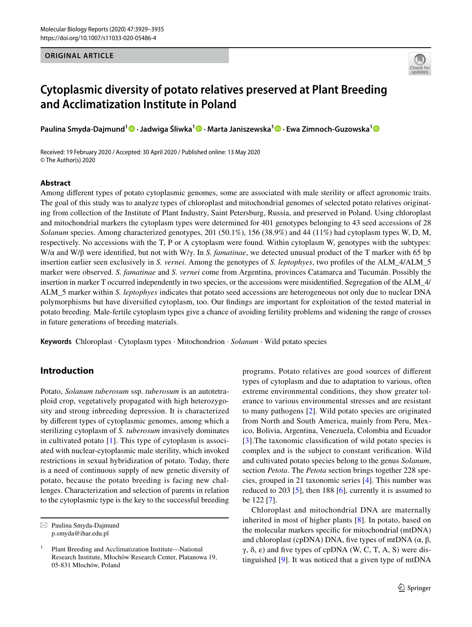#### **ORIGINAL ARTICLE**



# **Cytoplasmic diversity of potato relatives preserved at Plant Breeding and Acclimatization Institute in Poland**

**Paulina Smyda‑Dajmund[1](http://orcid.org/0000-0001-8393-3663) · Jadwiga Śliwka1 · Marta Janiszewska1  [·](http://orcid.org/0000-0003-0531-6445) Ewa Zimnoch‑Guzowska[1](http://orcid.org/0000-0002-1994-8665)**

Received: 19 February 2020 / Accepted: 30 April 2020 / Published online: 13 May 2020 © The Author(s) 2020

## **Abstract**

Among diferent types of potato cytoplasmic genomes, some are associated with male sterility or afect agronomic traits. The goal of this study was to analyze types of chloroplast and mitochondrial genomes of selected potato relatives originating from collection of the Institute of Plant Industry, Saint Petersburg, Russia, and preserved in Poland. Using chloroplast and mitochondrial markers the cytoplasm types were determined for 401 genotypes belonging to 43 seed accessions of 28 *Solanum* species. Among characterized genotypes, 201 (50.1%), 156 (38.9%) and 44 (11%) had cytoplasm types W, D, M, respectively. No accessions with the T, P or A cytoplasm were found. Within cytoplasm W, genotypes with the subtypes: W/α and W/β were identifed, but not with W/γ. In *S. famatinae*, we detected unusual product of the T marker with 65 bp insertion earlier seen exclusively in *S. vernei*. Among the genotypes of *S. leptophyes*, two profles of the ALM\_4/ALM\_5 marker were observed. *S. famatinae* and *S. vernei* come from Argentina, provinces Catamarca and Tucumán. Possibly the insertion in marker T occurred independently in two species, or the accessions were misidentifed. Segregation of the ALM\_4/ ALM\_5 marker within *S. leptophyes* indicates that potato seed accessions are heterogeneous not only due to nuclear DNA polymorphisms but have diversifed cytoplasm, too. Our fndings are important for exploitation of the tested material in potato breeding. Male-fertile cytoplasm types give a chance of avoiding fertility problems and widening the range of crosses in future generations of breeding materials.

**Keywords** Chloroplast · Cytoplasm types · Mitochondrion · *Solanum* · Wild potato species

## **Introduction**

Potato, *Solanum tuberosum* ssp. *tuberosum* is an autotetraploid crop, vegetatively propagated with high heterozygosity and strong inbreeding depression. It is characterized by diferent types of cytoplasmic genomes, among which a sterilizing cytoplasm of *S. tuberosum* invasively dominates in cultivated potato [[1\]](#page-5-0). This type of cytoplasm is associated with nuclear-cytoplasmic male sterility, which invoked restrictions in sexual hybridization of potato. Today, there is a need of continuous supply of new genetic diversity of potato, because the potato breeding is facing new challenges. Characterization and selection of parents in relation to the cytoplasmic type is the key to the successful breeding programs. Potato relatives are good sources of diferent types of cytoplasm and due to adaptation to various, often extreme environmental conditions, they show greater tolerance to various environmental stresses and are resistant to many pathogens [[2\]](#page-6-0). Wild potato species are originated from North and South America, mainly from Peru, Mexico, Bolivia, Argentina, Venezuela, Colombia and Ecuador [[3\]](#page-6-1).The taxonomic classifcation of wild potato species is complex and is the subject to constant verifcation. Wild and cultivated potato species belong to the genus *Solanum*, section *Petota*. The *Petota* section brings together 228 species, grouped in 21 taxonomic series [[4](#page-6-2)]. This number was reduced to 203 [[5\]](#page-6-3), then 188 [[6](#page-6-4)], currently it is assumed to be 122 [\[7](#page-6-5)].

Chloroplast and mitochondrial DNA are maternally inherited in most of higher plants [[8](#page-6-6)]. In potato, based on the molecular markers specifc for mitochondrial (mtDNA) and chloroplast (cpDNA) DNA, five types of mtDNA  $(α, β,$  $γ$ , δ, ε) and five types of cpDNA (W, C, T, A, S) were distinguished [[9](#page-6-7)]. It was noticed that a given type of mtDNA

 $\boxtimes$  Paulina Smyda-Dajmund p.smyda@ihar.edu.pl

<sup>1</sup> Plant Breeding and Acclimatization Institute—National Research Institute, Młochów Research Center, Platanowa 19, 05-831 Młochów, Poland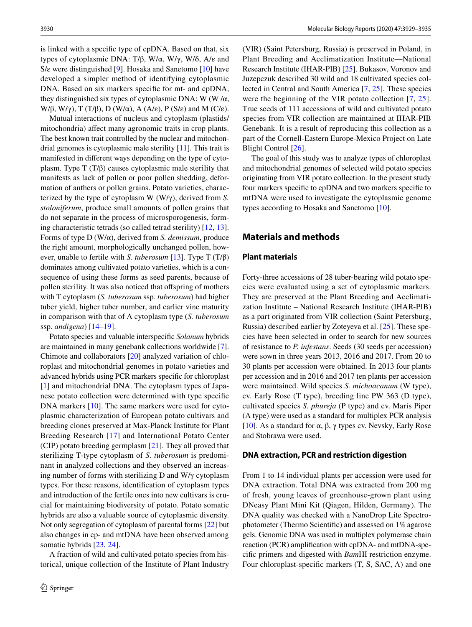is linked with a specifc type of cpDNA. Based on that, six types of cytoplasmic DNA: T/β, W/α, W/γ, W/δ, A/ε and S/ε were distinguished [[9\]](#page-6-7). Hosaka and Sanetomo [\[10](#page-6-8)] have developed a simpler method of identifying cytoplasmic DNA. Based on six markers specifc for mt- and cpDNA, they distinguished six types of cytoplasmic DNA: W (W/ $\alpha$ , W/β, W/γ), T (T/β), D (W/α), A (A/ε), P (S/ε) and M (C/ε).

Mutual interactions of nucleus and cytoplasm (plastids/ mitochondria) afect many agronomic traits in crop plants. The best known trait controlled by the nuclear and mitochondrial genomes is cytoplasmic male sterility [\[11](#page-6-9)]. This trait is manifested in diferent ways depending on the type of cytoplasm. Type T (T/β) causes cytoplasmic male sterility that manifests as lack of pollen or poor pollen shedding, deformation of anthers or pollen grains. Potato varieties, characterized by the type of cytoplasm W (W/γ), derived from *S. stoloniferum*, produce small amounts of pollen grains that do not separate in the process of microsporogenesis, forming characteristic tetrads (so called tetrad sterility) [\[12](#page-6-10), [13](#page-6-11)]. Forms of type D (W/α), derived from *S. demissum*, produce the right amount, morphologically unchanged pollen, however, unable to fertile with *S. tuberosum* [\[13](#page-6-11)]. Type T (T/β) dominates among cultivated potato varieties, which is a consequence of using these forms as seed parents, because of pollen sterility. It was also noticed that offspring of mothers with T cytoplasm (*S. tuberosum* ssp. *tuberosum*) had higher tuber yield, higher tuber number, and earlier vine maturity in comparison with that of A cytoplasm type (*S. tuberosum* ssp. *andigena*) [\[14–](#page-6-12)[19\]](#page-6-13).

Potato species and valuable interspecifc *Solanum* hybrids are maintained in many genebank collections worldwide [\[7](#page-6-5)]. Chimote and collaborators [\[20\]](#page-6-14) analyzed variation of chloroplast and mitochondrial genomes in potato varieties and advanced hybrids using PCR markers specifc for chloroplast [\[1](#page-5-0)] and mitochondrial DNA. The cytoplasm types of Japanese potato collection were determined with type specifc DNA markers [\[10](#page-6-8)]. The same markers were used for cytoplasmic characterization of European potato cultivars and breeding clones preserved at Max-Planck Institute for Plant Breeding Research [[17](#page-6-15)] and International Potato Center (CIP) potato breeding germplasm [[21](#page-6-16)]. They all proved that sterilizing T-type cytoplasm of *S. tuberosum* is predominant in analyzed collections and they observed an increasing number of forms with sterilizing D and W/γ cytoplasm types. For these reasons, identifcation of cytoplasm types and introduction of the fertile ones into new cultivars is crucial for maintaining biodiversity of potato. Potato somatic hybrids are also a valuable source of cytoplasmic diversity. Not only segregation of cytoplasm of parental forms [\[22\]](#page-6-17) but also changes in cp- and mtDNA have been observed among somatic hybrids [[23](#page-6-18), [24](#page-6-19)].

A fraction of wild and cultivated potato species from historical, unique collection of the Institute of Plant Industry

(VIR) (Saint Petersburg, Russia) is preserved in Poland, in Plant Breeding and Acclimatization Institute—National Research Institute (IHAR-PIB) [[25\]](#page-6-20). Bukasov, Voronov and Juzepczuk described 30 wild and 18 cultivated species collected in Central and South America [[7,](#page-6-5) [25\]](#page-6-20). These species were the beginning of the VIR potato collection [[7,](#page-6-5) [25](#page-6-20)]. True seeds of 111 accessions of wild and cultivated potato species from VIR collection are maintained at IHAR-PIB Genebank. It is a result of reproducing this collection as a part of the Cornell-Eastern Europe-Mexico Project on Late Blight Control [[26\]](#page-6-21).

The goal of this study was to analyze types of chloroplast and mitochondrial genomes of selected wild potato species originating from VIR potato collection. In the present study four markers specifc to cpDNA and two markers specifc to mtDNA were used to investigate the cytoplasmic genome types according to Hosaka and Sanetomo [\[10](#page-6-8)].

## **Materials and methods**

#### **Plant materials**

Forty-three accessions of 28 tuber-bearing wild potato species were evaluated using a set of cytoplasmic markers. They are preserved at the Plant Breeding and Acclimatization Institute – National Research Institute (IHAR-PIB) as a part originated from VIR collection (Saint Petersburg, Russia) described earlier by Zoteyeva et al. [[25](#page-6-20)]. These species have been selected in order to search for new sources of resistance to *P. infestans*. Seeds (30 seeds per accession) were sown in three years 2013, 2016 and 2017. From 20 to 30 plants per accession were obtained. In 2013 four plants per accession and in 2016 and 2017 ten plants per accession were maintained. Wild species *S. michoacanum* (W type), cv. Early Rose (T type), breeding line PW 363 (D type), cultivated species *S. phureja* (P type) and cv. Maris Piper (A type) were used as a standard for multiplex PCR analysis [[10\]](#page-6-8). As a standard for α, β, γ types cv. Nevsky, Early Rose and Stobrawa were used.

#### **DNA extraction, PCR and restriction digestion**

From 1 to 14 individual plants per accession were used for DNA extraction. Total DNA was extracted from 200 mg of fresh, young leaves of greenhouse-grown plant using DNeasy Plant Mini Kit (Qiagen, Hilden, Germany). The DNA quality was checked with a NanoDrop Lite Spectrophotometer (Thermo Scientifc) and assessed on 1% agarose gels. Genomic DNA was used in multiplex polymerase chain reaction (PCR) amplifcation with cpDNA- and mtDNA-specifc primers and digested with *Bam*HI restriction enzyme. Four chloroplast-specifc markers (T, S, SAC, A) and one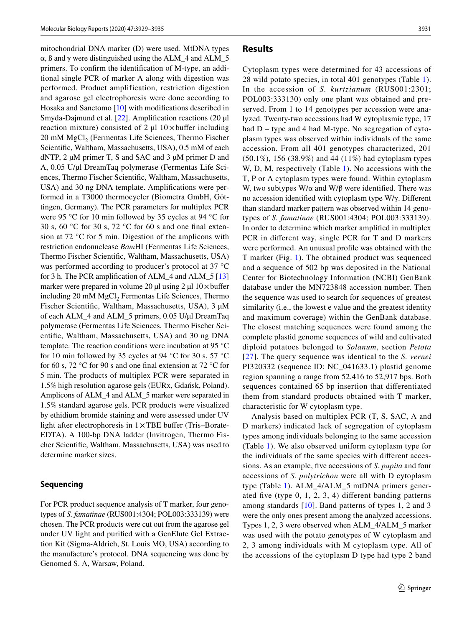mitochondrial DNA marker (D) were used. MtDNA types α, ß and γ were distinguished using the ALM\_4 and ALM\_5 primers. To confrm the identifcation of M-type, an additional single PCR of marker A along with digestion was performed. Product amplification, restriction digestion and agarose gel electrophoresis were done according to Hosaka and Sanetomo [[10\]](#page-6-8) with modifcations described in Smyda-Dajmund et al. [\[22](#page-6-17)]. Amplifcation reactions (20 µl reaction mixture) consisted of 2  $\mu$ l 10× buffer including 20 mM MgCl<sub>2</sub> (Fermentas Life Sciences, Thermo Fischer Scientifc, Waltham, Massachusetts, USA), 0.5 mM of each dNTP, 2 µM primer T, S and SAC and 3 µM primer D and A, 0.05 U/µl DreamTaq polymerase (Fermentas Life Sciences, Thermo Fischer Scientifc, Waltham, Massachusetts, USA) and 30 ng DNA template. Amplifcations were performed in a T3000 thermocycler (Biometra GmbH, Göttingen, Germany). The PCR parameters for multiplex PCR were 95 °C for 10 min followed by 35 cycles at 94 °C for 30 s, 60  $\degree$ C for 30 s, 72  $\degree$ C for 60 s and one final extension at 72 °C for 5 min. Digestion of the amplicons with restriction endonuclease *Bam*HI (Fermentas Life Sciences, Thermo Fischer Scientifc, Waltham, Massachusetts, USA) was performed according to producer's protocol at 37 °C for 3 h. The PCR amplifcation of ALM\_4 and ALM\_5 [[13\]](#page-6-11) marker were prepared in volume 20 µl using 2 µl  $10 \times$ buffer including 20 mM MgCl<sub>2</sub> Fermentas Life Sciences, Thermo Fischer Scientifc, Waltham, Massachusetts, USA), 3 µM of each ALM\_4 and ALM\_5 primers, 0.05 U/µl DreamTaq polymerase (Fermentas Life Sciences, Thermo Fischer Scientifc, Waltham, Massachusetts, USA) and 30 ng DNA template. The reaction conditions were incubation at 95 °C for 10 min followed by 35 cycles at 94 °C for 30 s, 57 °C for 60 s, 72 °C for 90 s and one fnal extension at 72 °C for 5 min. The products of multiplex PCR were separated in 1.5% high resolution agarose gels (EURx, Gdańsk, Poland). Amplicons of ALM\_4 and ALM\_5 marker were separated in 1.5% standard agarose gels. PCR products were visualized by ethidium bromide staining and were assessed under UV light after electrophoresis in  $1 \times \text{TBE}$  buffer (Tris–Borate-EDTA). A 100-bp DNA ladder (Invitrogen, Thermo Fischer Scientifc, Waltham, Massachusetts, USA) was used to determine marker sizes.

#### **Sequencing**

For PCR product sequence analysis of T marker, four genotypes of *S. famatinae* (RUS001:4304; POL003:333139) were chosen. The PCR products were cut out from the agarose gel under UV light and purifed with a GenElute Gel Extraction Kit (Sigma-Aldrich, St. Louis MO, USA) according to the manufacture's protocol. DNA sequencing was done by Genomed S. A, Warsaw, Poland.

## **Results**

Cytoplasm types were determined for 43 accessions of 28 wild potato species, in total 401 genotypes (Table [1](#page-3-0)). In the accession of *S. kurtzianum* (RUS001:2301; POL003:333130) only one plant was obtained and preserved. From 1 to 14 genotypes per accession were analyzed. Twenty-two accessions had W cytoplasmic type, 17 had  $D - type$  and 4 had M-type. No segregation of cytoplasm types was observed within individuals of the same accession. From all 401 genotypes characterized, 201 (50.1%), 156 (38.9%) and 44 (11%) had cytoplasm types W, D, M, respectively (Table [1\)](#page-3-0). No accessions with the T, P or A cytoplasm types were found. Within cytoplasm W, two subtypes W/ $\alpha$  and W/ $\beta$  were identified. There was no accession identifed with cytoplasm type W/γ. Diferent than standard marker pattern was observed within 14 genotypes of *S. famatinae* (RUS001:4304; POL003:333139). In order to determine which marker amplifed in multiplex PCR in diferent way, single PCR for T and D markers were performed. An unusual profle was obtained with the T marker (Fig. [1](#page-4-0)). The obtained product was sequenced and a sequence of 502 bp was deposited in the National Center for Biotechnology Information (NCBI) GenBank database under the MN723848 accession number. Then the sequence was used to search for sequences of greatest similarity (i.e., the lowest e value and the greatest identity and maximum coverage) within the GenBank database. The closest matching sequences were found among the complete plastid genome sequences of wild and cultivated diploid potatoes belonged to *Solanum*, section *Petota* [[27](#page-6-22)]. The query sequence was identical to the *S. vernei* PI320332 (sequence ID: NC\_041633.1) plastid genome region spanning a range from 52,416 to 52,917 bps. Both sequences contained 65 bp insertion that diferentiated them from standard products obtained with T marker, characteristic for W cytoplasm type.

Analysis based on multiplex PCR (T, S, SAC, A and D markers) indicated lack of segregation of cytoplasm types among individuals belonging to the same accession (Table [1](#page-3-0)). We also observed uniform cytoplasm type for the individuals of the same species with diferent accessions. As an example, fve accessions of *S. papita* and four accessions of *S. polytrichon* were all with D cytoplasm type (Table [1](#page-3-0)). ALM\_4/ALM\_5 mtDNA primers generated five (type  $0, 1, 2, 3, 4$ ) different banding patterns among standards [[10](#page-6-8)]. Band patterns of types 1, 2 and 3 were the only ones present among the analyzed accessions. Types 1, 2, 3 were observed when ALM\_4/ALM\_5 marker was used with the potato genotypes of W cytoplasm and 2, 3 among individuals with M cytoplasm type. All of the accessions of the cytoplasm D type had type 2 band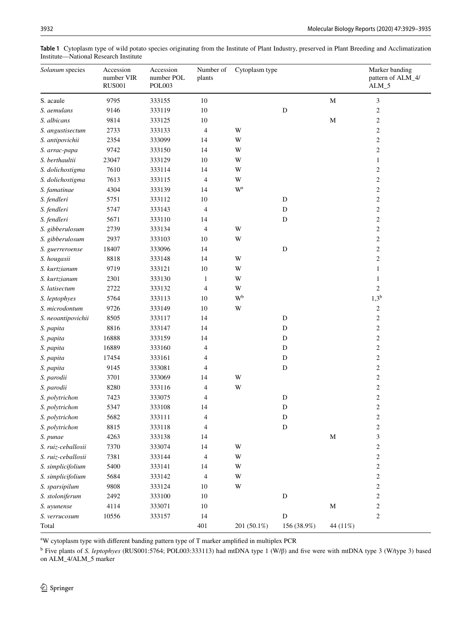| Solanum species    | Accession<br>number VIR<br><b>RUS001</b> | Accession<br>number POL<br>POL003 | Number of<br>plants | Cytoplasm type          |             |             | Marker banding<br>pattern of ALM_4/<br>$ALM_5$ |
|--------------------|------------------------------------------|-----------------------------------|---------------------|-------------------------|-------------|-------------|------------------------------------------------|
| S. acaule          | 9795                                     | 333155                            | $10\,$              |                         |             | $\mathbf M$ | $\mathfrak{Z}$                                 |
| S. aemulans        | 9146                                     | 333119                            | $10\,$              |                         | $\mathbf D$ |             | $\sqrt{2}$                                     |
| S. albicans        | 9814                                     | 333125                            | 10                  |                         |             | $\mathbf M$ | $\overline{c}$                                 |
| S. angustisectum   | 2733                                     | 333133                            | 4                   | W                       |             |             | $\overline{c}$                                 |
| S. antipovichii    | 2354                                     | 333099                            | 14                  | W                       |             |             | $\overline{c}$                                 |
| S. arrac-papa      | 9742                                     | 333150                            | 14                  | W                       |             |             | 2                                              |
| S. berthaultii     | 23047                                    | 333129                            | $10\,$              | W                       |             |             | $\mathbf{1}$                                   |
| S. dolichostigma   | 7610                                     | 333114                            | 14                  | W                       |             |             | $\overline{c}$                                 |
| S. dolichostigma   | 7613                                     | 333115                            | $\overline{4}$      | $\mathbf W$             |             |             | $\overline{c}$                                 |
| S. famatinae       | 4304                                     | 333139                            | 14                  | $\mathbf{W}^{\text{a}}$ |             |             | $\overline{c}$                                 |
| S. fendleri        | 5751                                     | 333112                            | 10                  |                         | ${\bf D}$   |             | $\overline{c}$                                 |
| S. fendleri        | 5747                                     | 333143                            | 4                   |                         | $\mathbf D$ |             | $\mathbf{2}$                                   |
| S. fendleri        | 5671                                     | 333110                            | 14                  |                         | $\mathbf D$ |             | $\mathbf{2}$                                   |
| S. gibberulosum    | 2739                                     | 333134                            | 4                   | W                       |             |             | $\mathbf{2}$                                   |
| S. gibberulosum    | 2937                                     | 333103                            | 10                  | W                       |             |             | $\sqrt{2}$                                     |
| S. guerreroense    | 18407                                    | 333096                            | 14                  |                         | $\mathbf D$ |             | $\sqrt{2}$                                     |
| S. hougasii        | 8818                                     | 333148                            | 14                  | W                       |             |             | $\mathbf{2}$                                   |
| S. kurtzianum      | 9719                                     | 333121                            | 10                  | W                       |             |             | 1                                              |
| S. kurtzianum      | 2301                                     | 333130                            | $\mathbf{1}$        | W                       |             |             | 1                                              |
| S. latisectum      | 2722                                     | 333132                            | $\overline{4}$      | W                       |             |             | 2                                              |
| S. leptophyes      | 5764                                     | 333113                            | 10                  | $W^b$                   |             |             | $1,3^{\rm b}$                                  |
| S. microdontum     | 9726                                     | 333149                            | $10\,$              | W                       |             |             | $\overline{c}$                                 |
| S. neoantipovichii | 8505                                     | 333117                            | 14                  |                         | D           |             | $\overline{c}$                                 |
| S. papita          | 8816                                     | 333147                            | 14                  |                         | D           |             | $\sqrt{2}$                                     |
| S. papita          | 16888                                    | 333159                            | 14                  |                         | D           |             | $\overline{c}$                                 |
| S. papita          | 16889                                    | 333160                            | $\overline{4}$      |                         | D           |             | $\sqrt{2}$                                     |
| S. papita          | 17454                                    | 333161                            | 4                   |                         | ${\bf D}$   |             | $\sqrt{2}$                                     |
| S. papita          | 9145                                     | 333081                            | 4                   |                         | D           |             | $\sqrt{2}$                                     |
| S. parodii         | 3701                                     | 333069                            | 14                  | W                       |             |             | $\overline{c}$                                 |
| S. parodii         | 8280                                     | 333116                            | 4                   | W                       |             |             | $\mathbf{2}$                                   |
| S. polytrichon     | 7423                                     | 333075                            | $\overline{4}$      |                         | $\mathbf D$ |             | $\overline{c}$                                 |
| S. polytrichon     | 5347                                     | 333108                            | 14                  |                         | $\mathbf D$ |             | $\sqrt{2}$                                     |
| S. polytrichon     | 5682                                     | 333111                            | 4                   |                         | D           |             | $\overline{2}$                                 |
| S. polytrichon     | 8815                                     | 333118                            | 4                   |                         | $\mathbf D$ |             | $\overline{\mathbf{c}}$                        |
| S. punae           | 4263                                     | 333138                            | 14                  |                         |             | $\mathbf M$ | 3                                              |
| S. ruiz-ceballosii | 7370                                     | 333074                            | 14                  | W                       |             |             | $\boldsymbol{2}$                               |
| S. ruiz-ceballosii | 7381                                     | 333144                            | 4                   | W                       |             |             | $\overline{c}$                                 |
| S. simplicifolium  | 5400                                     | 333141                            | 14                  | W                       |             |             | $\overline{c}$                                 |
| S. simplicifolium  | 5684                                     | 333142                            | 4                   | W                       |             |             | $\boldsymbol{2}$                               |
| S. sparsipilum     | 9808                                     | 333124                            | 10                  | W                       |             |             | $\overline{c}$                                 |
| S. stoloniferum    | 2492                                     | 333100                            | 10                  |                         | ${\bf D}$   |             | 2                                              |
| S. uyunense        | 4114                                     | 333071                            | $10\,$              |                         |             | $\mathbf M$ | 2                                              |
| S. verrucosum      | 10556                                    | 333157                            | 14                  |                         | ${\bf D}$   |             | 2                                              |
| Total              |                                          |                                   | 401                 | 201 (50.1%)             | 156 (38.9%) | 44 (11%)    |                                                |

<span id="page-3-0"></span>**Table 1** Cytoplasm type of wild potato species originating from the Institute of Plant Industry, preserved in Plant Breeding and Acclimatization Institute—National Research Institute

<sup>a</sup>W cytoplasm type with different banding pattern type of T marker amplified in multiplex PCR

b Five plants of *S. leptophyes* (RUS001:5764; POL003:333113) had mtDNA type 1 (W/β) and fve were with mtDNA type 3 (W/type 3) based on ALM\_4/ALM\_5 marker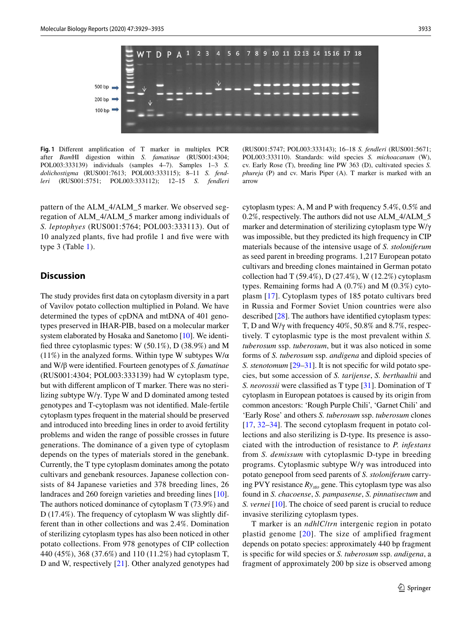

<span id="page-4-0"></span>**Fig. 1** Diferent amplifcation of T marker in multiplex PCR after *Bam*HI digestion within *S. famatinae* (RUS001:4304; POL003:333139) individuals (samples 4–7). Samples 1–3 *S. dolichostigma* (RUS001:7613; POL003:333115); 8–11 *S. fendleri* (RUS001:5751; POL003:333112); 12–15 *S. fendleri*

pattern of the ALM\_4/ALM\_5 marker. We observed segregation of ALM\_4/ALM\_5 marker among individuals of *S. leptophyes* (RUS001:5764; POL003:333113). Out of 10 analyzed plants, fve had profle 1 and fve were with type 3 (Table [1\)](#page-3-0).

## **Discussion**

The study provides frst data on cytoplasm diversity in a part of Vavilov potato collection multiplied in Poland. We have determined the types of cpDNA and mtDNA of 401 genotypes preserved in IHAR-PIB, based on a molecular marker system elaborated by Hosaka and Sanetomo [[10\]](#page-6-8). We identifed three cytoplasmic types: W (50.1%), D (38.9%) and M (11%) in the analyzed forms. Within type W subtypes  $W/\alpha$ and W/β were identifed. Fourteen genotypes of *S. famatinae* (RUS001:4304; POL003:333139) had W cytoplasm type, but with diferent amplicon of T marker. There was no sterilizing subtype W/γ. Type W and D dominated among tested genotypes and T-cytoplasm was not identifed. Male-fertile cytoplasm types frequent in the material should be preserved and introduced into breeding lines in order to avoid fertility problems and widen the range of possible crosses in future generations. The dominance of a given type of cytoplasm depends on the types of materials stored in the genebank. Currently, the T type cytoplasm dominates among the potato cultivars and genebank resources. Japanese collection consists of 84 Japanese varieties and 378 breeding lines, 26 landraces and 260 foreign varieties and breeding lines [\[10](#page-6-8)]. The authors noticed dominance of cytoplasm T (73.9%) and D (17.4%). The frequency of cytoplasm W was slightly different than in other collections and was 2.4%. Domination of sterilizing cytoplasm types has also been noticed in other potato collections. From 978 genotypes of CIP collection 440 (45%), 368 (37.6%) and 110 (11.2%) had cytoplasm T, D and W, respectively [\[21\]](#page-6-16). Other analyzed genotypes had

(RUS001:5747; POL003:333143); 16–18 *S. fendleri* (RUS001:5671; POL003:333110). Standards: wild species *S. michoacanum* (W), cv. Early Rose (T), breeding line PW 363 (D), cultivated species *S. phureja* (P) and cv. Maris Piper (A). T marker is marked with an arrow

cytoplasm types: A, M and P with frequency 5.4%, 0.5% and 0.2%, respectively. The authors did not use ALM\_4/ALM\_5 marker and determination of sterilizing cytoplasm type W/γ was impossible, but they predicted its high frequency in CIP materials because of the intensive usage of *S. stoloniferum* as seed parent in breeding programs. 1,217 European potato cultivars and breeding clones maintained in German potato collection had T (59.4%), D (27.4%), W (12.2%) cytoplasm types. Remaining forms had A (0.7%) and M (0.3%) cytoplasm [\[17](#page-6-15)]. Cytoplasm types of 185 potato cultivars bred in Russia and Former Soviet Union countries were also described [[28\]](#page-6-23). The authors have identifed cytoplasm types: T, D and W/γ with frequency 40%, 50.8% and 8.7%, respectively. T cytoplasmic type is the most prevalent within *S. tuberosum* ssp. *tuberosum*, but it was also noticed in some forms of *S. tuberosum* ssp. *andigena* and diploid species of *S. stenotomum* [\[29](#page-6-24)[–31](#page-6-25)]. It is not specific for wild potato species, but some accession of *S. tarijense*, *S. berthaultii* and *S. neorossii* were classified as T type [[31\]](#page-6-25). Domination of T cytoplasm in European potatoes is caused by its origin from common ancestors: 'Rough Purple Chili', 'Garnet Chili' and 'Early Rose' and others *S. tuberosum* ssp. *tuberosum* clones [[17,](#page-6-15) [32](#page-6-26)[–34](#page-6-27)]. The second cytoplasm frequent in potato collections and also sterilizing is D-type. Its presence is associated with the introduction of resistance to *P. infestans* from *S. demissum* with cytoplasmic D-type in breeding programs. Cytoplasmic subtype W/γ was introduced into potato genepool from seed parents of *S. stoloniferum* carrying PVY resistance *Rysto* gene. This cytoplasm type was also found in *S. chacoense*, *S. pampasense*, *S. pinnatisectum* and *S. vernei* [[10\]](#page-6-8). The choice of seed parent is crucial to reduce invasive sterilizing cytoplasm types.

T marker is an *ndhlC*/*trn* intergenic region in potato plastid genome [[20\]](#page-6-14). The size of amplified fragment depends on potato species: approximately 440 bp fragment is specifc for wild species or *S. tuberosum* ssp. *andigena*, a fragment of approximately 200 bp size is observed among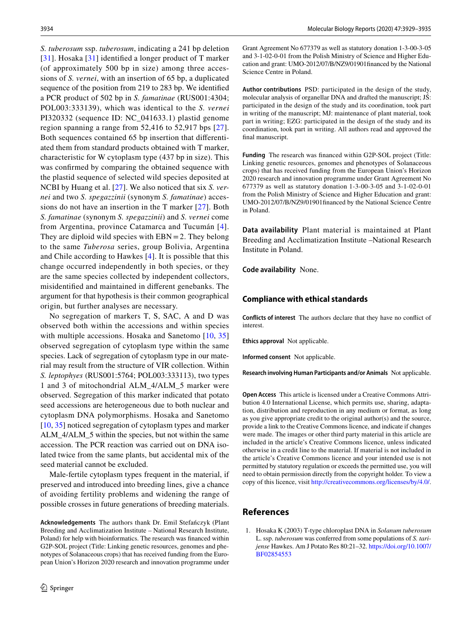*S. tuberosum* ssp. *tuberosum*, indicating a 241 bp deletion [[31\]](#page-6-25). Hosaka [[31](#page-6-25)] identified a longer product of T marker (of approximately 500 bp in size) among three accessions of *S. vernei*, with an insertion of 65 bp, a duplicated sequence of the position from 219 to 283 bp. We identifed a PCR product of 502 bp in *S. famatinae* (RUS001:4304; POL003:333139), which was identical to the *S. vernei* PI320332 (sequence ID: NC\_041633.1) plastid genome region spanning a range from 52,416 to 52,917 bps [[27](#page-6-22)]. Both sequences contained 65 bp insertion that diferentiated them from standard products obtained with T marker, characteristic for W cytoplasm type (437 bp in size). This was confrmed by comparing the obtained sequence with the plastid sequence of selected wild species deposited at NCBI by Huang et al. [\[27](#page-6-22)]. We also noticed that six *S. vernei* and two *S. spegazzinii* (synonym *S. famatinae*) accessions do not have an insertion in the T marker [[27](#page-6-22)]. Both *S. famatinae* (synonym *S. spegazzinii*) and *S. vernei* come from Argentina, province Catamarca and Tucumán [[4\]](#page-6-2). They are diploid wild species with  $EBN = 2$ . They belong to the same *Tuberosa* series, group Bolivia, Argentina and Chile according to Hawkes [[4\]](#page-6-2). It is possible that this change occurred independently in both species, or they are the same species collected by independent collectors, misidentifed and maintained in diferent genebanks. The argument for that hypothesis is their common geographical origin, but further analyses are necessary.

No segregation of markers T, S, SAC, A and D was observed both within the accessions and within species with multiple accessions. Hosaka and Sanetomo [\[10,](#page-6-8) [35\]](#page-6-28) observed segregation of cytoplasm type within the same species. Lack of segregation of cytoplasm type in our material may result from the structure of VIR collection. Within *S. leptophyes* (RUS001:5764; POL003:333113), two types 1 and 3 of mitochondrial ALM\_4/ALM\_5 marker were observed. Segregation of this marker indicated that potato seed accessions are heterogeneous due to both nuclear and cytoplasm DNA polymorphisms. Hosaka and Sanetomo [\[10](#page-6-8), [35](#page-6-28)] noticed segregation of cytoplasm types and marker ALM\_4/ALM\_5 within the species, but not within the same accession. The PCR reaction was carried out on DNA isolated twice from the same plants, but accidental mix of the seed material cannot be excluded.

Male-fertile cytoplasm types frequent in the material, if preserved and introduced into breeding lines, give a chance of avoiding fertility problems and widening the range of possible crosses in future generations of breeding materials.

**Acknowledgements** The authors thank Dr. Emil Stefańczyk (Plant Breeding and Acclimatization Institute – National Research Institute, Poland) for help with bioinformatics. The research was fnanced within G2P-SOL project (Title: Linking genetic resources, genomes and phenotypes of Solanaceous crops) that has received funding from the European Union's Horizon 2020 research and innovation programme under Grant Agreement No 677379 as well as statutory donation 1-3-00-3-05 and 3-1-02-0-01 from the Polish Ministry of Science and Higher Education and grant: UMO-2012/07/B/NZ9/01901fnanced by the National Science Centre in Poland.

**Author contributions** PSD: participated in the design of the study, molecular analysis of organellar DNA and drafted the manuscript; JŚ: participated in the design of the study and its coordination, took part in writing of the manuscript; MJ: maintenance of plant material, took part in writing; EZG: participated in the design of the study and its coordination, took part in writing. All authors read and approved the final manuscript.

**Funding** The research was fnanced within G2P-SOL project (Title: Linking genetic resources, genomes and phenotypes of Solanaceous crops) that has received funding from the European Union's Horizon 2020 research and innovation programme under Grant Agreement No 677379 as well as statutory donation 1-3-00-3-05 and 3-1-02-0-01 from the Polish Ministry of Science and Higher Education and grant: UMO-2012/07/B/NZ9/01901fnanced by the National Science Centre in Poland.

**Data availability** Plant material is maintained at Plant Breeding and Acclimatization Institute –National Research Institute in Poland.

**Code availability** None.

#### **Compliance with ethical standards**

**Conflicts of interest** The authors declare that they have no confict of interest.

**Ethics approval** Not applicable.

**Informed consent** Not applicable.

**Research involving Human Participants and/or Animals** Not applicable.

**Open Access** This article is licensed under a Creative Commons Attribution 4.0 International License, which permits use, sharing, adaptation, distribution and reproduction in any medium or format, as long as you give appropriate credit to the original author(s) and the source, provide a link to the Creative Commons licence, and indicate if changes were made. The images or other third party material in this article are included in the article's Creative Commons licence, unless indicated otherwise in a credit line to the material. If material is not included in the article's Creative Commons licence and your intended use is not permitted by statutory regulation or exceeds the permitted use, you will need to obtain permission directly from the copyright holder. To view a copy of this licence, visit<http://creativecommons.org/licenses/by/4.0/>.

## **References**

<span id="page-5-0"></span>1. Hosaka K (2003) T-type chloroplast DNA in *Solanum tuberosum* L. ssp. *tuberosum* was conferred from some populations of *S. tarijense* Hawkes. Am J Potato Res 80:21–32. [https://doi.org/10.1007/](https://doi.org/10.1007/BF02854553) [BF02854553](https://doi.org/10.1007/BF02854553)